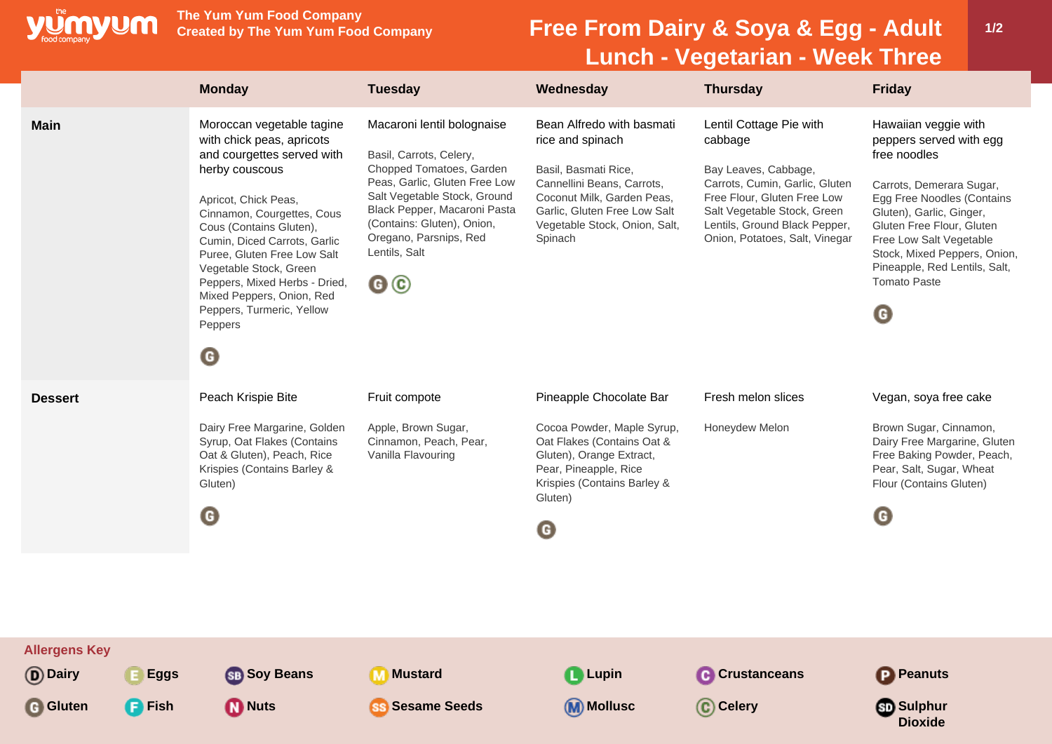

**The Yum Yum Food Company**

## **Free From Dairy & Soya & Egg - Adult Lunch - Vegetarian - Week Three**

|                                                                                      | <b>Monday</b>                                                                                                                                                                                                                                                                                                                                                                                                   | <b>Tuesday</b>                                                                                                                                                                                                                                                    | Wednesday                                                                                                                                                                                                     | <b>Thursday</b>                                                                                                                                                                                                               | <b>Friday</b>                                                                                                                                                                                                                                                                                              |
|--------------------------------------------------------------------------------------|-----------------------------------------------------------------------------------------------------------------------------------------------------------------------------------------------------------------------------------------------------------------------------------------------------------------------------------------------------------------------------------------------------------------|-------------------------------------------------------------------------------------------------------------------------------------------------------------------------------------------------------------------------------------------------------------------|---------------------------------------------------------------------------------------------------------------------------------------------------------------------------------------------------------------|-------------------------------------------------------------------------------------------------------------------------------------------------------------------------------------------------------------------------------|------------------------------------------------------------------------------------------------------------------------------------------------------------------------------------------------------------------------------------------------------------------------------------------------------------|
| <b>Main</b>                                                                          | Moroccan vegetable tagine<br>with chick peas, apricots<br>and courgettes served with<br>herby couscous<br>Apricot, Chick Peas,<br>Cinnamon, Courgettes, Cous<br>Cous (Contains Gluten),<br>Cumin, Diced Carrots, Garlic<br>Puree, Gluten Free Low Salt<br>Vegetable Stock, Green<br>Peppers, Mixed Herbs - Dried,<br>Mixed Peppers, Onion, Red<br>Peppers, Turmeric, Yellow<br>Peppers<br>$\boldsymbol{\Theta}$ | Macaroni lentil bolognaise<br>Basil, Carrots, Celery,<br>Chopped Tomatoes, Garden<br>Peas, Garlic, Gluten Free Low<br>Salt Vegetable Stock, Ground<br>Black Pepper, Macaroni Pasta<br>(Contains: Gluten), Onion,<br>Oregano, Parsnips, Red<br>Lentils, Salt<br>@© | Bean Alfredo with basmati<br>rice and spinach<br>Basil, Basmati Rice,<br>Cannellini Beans, Carrots,<br>Coconut Milk, Garden Peas,<br>Garlic, Gluten Free Low Salt<br>Vegetable Stock, Onion, Salt,<br>Spinach | Lentil Cottage Pie with<br>cabbage<br>Bay Leaves, Cabbage,<br>Carrots, Cumin, Garlic, Gluten<br>Free Flour, Gluten Free Low<br>Salt Vegetable Stock, Green<br>Lentils, Ground Black Pepper,<br>Onion, Potatoes, Salt, Vinegar | Hawaiian veggie with<br>peppers served with egg<br>free noodles<br>Carrots, Demerara Sugar,<br>Egg Free Noodles (Contains<br>Gluten), Garlic, Ginger,<br>Gluten Free Flour, Gluten<br>Free Low Salt Vegetable<br>Stock, Mixed Peppers, Onion,<br>Pineapple, Red Lentils, Salt,<br><b>Tomato Paste</b><br>O |
| <b>Dessert</b>                                                                       | Peach Krispie Bite<br>Dairy Free Margarine, Golden<br>Syrup, Oat Flakes (Contains<br>Oat & Gluten), Peach, Rice<br>Krispies (Contains Barley &<br>Gluten)<br>$\boldsymbol{\Theta}$                                                                                                                                                                                                                              | Fruit compote<br>Apple, Brown Sugar,<br>Cinnamon, Peach, Pear,<br>Vanilla Flavouring                                                                                                                                                                              | Pineapple Chocolate Bar<br>Cocoa Powder, Maple Syrup,<br>Oat Flakes (Contains Oat &<br>Gluten), Orange Extract,<br>Pear, Pineapple, Rice<br>Krispies (Contains Barley &<br>Gluten)<br>G                       | Fresh melon slices<br>Honeydew Melon                                                                                                                                                                                          | Vegan, soya free cake<br>Brown Sugar, Cinnamon,<br>Dairy Free Margarine, Gluten<br>Free Baking Powder, Peach,<br>Pear, Salt, Sugar, Wheat<br>Flour (Contains Gluten)<br>$\mathbf G$                                                                                                                        |
| <b>Allergens Key</b><br>(D) Dairy<br><b>Eggs</b><br><b>G</b> Gluten<br><b>P</b> Fish | <b>SB</b> Soy Beans<br><b>M</b> Nuts                                                                                                                                                                                                                                                                                                                                                                            | <b>M</b> Mustard<br><b>SS Sesame Seeds</b>                                                                                                                                                                                                                        | Lupin<br><b>M</b> Mollusc                                                                                                                                                                                     | <b>C</b> Crustanceans<br>C Celery                                                                                                                                                                                             | <b>P</b> Peanuts<br><b>Sulphur</b><br><b>Dioxide</b>                                                                                                                                                                                                                                                       |